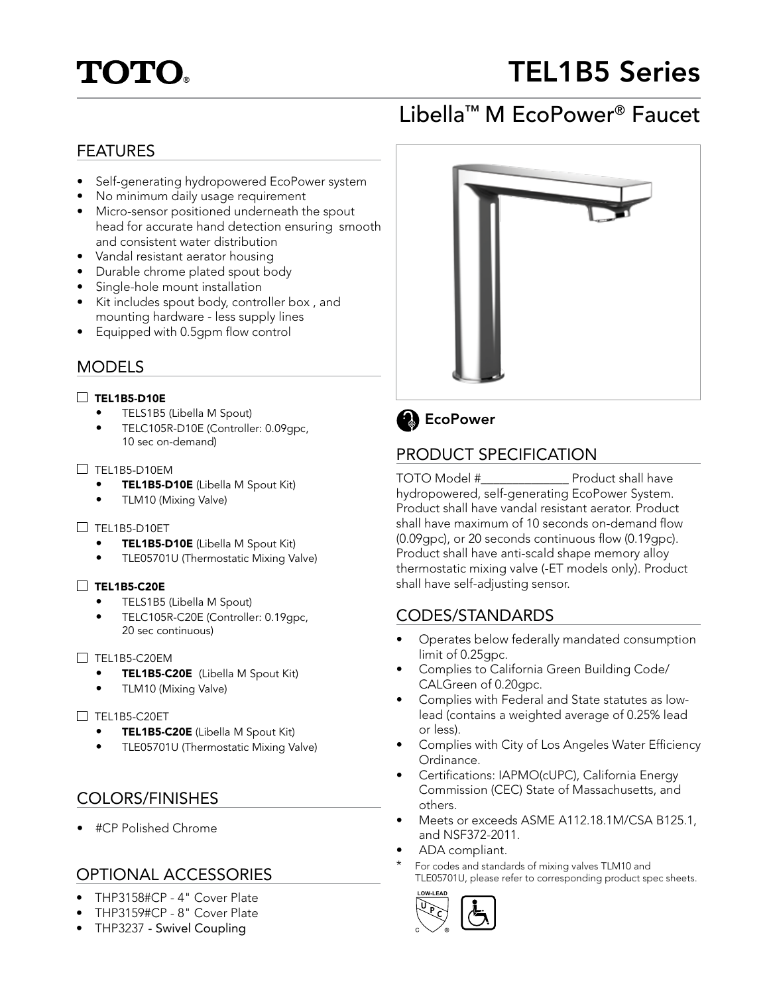# **TOTO®**

# TEL1B5 Series

## Libella™ M EcoPower® Faucet

## FEATURES

- Self-generating hydropowered EcoPower system
- No minimum daily usage requirement
- Micro-sensor positioned underneath the spout head for accurate hand detection ensuring smooth and consistent water distribution
- Vandal resistant aerator housing
- Durable chrome plated spout body
- Single-hole mount installation
- Kit includes spout body, controller box , and mounting hardware - less supply lines
- Equipped with 0.5gpm flow control

## MODELS

#### $\Box$  TEL1B5-D10E

- TELS1B5 (Libella M Spout)
- TELC105R-D10E (Controller: 0.09gpc, 10 sec on-demand)

#### $\Box$  TEL1B5-D10EM

- **TEL1B5-D10E** (Libella M Spout Kit)
- TLM10 (Mixing Valve)

#### $\square$  TEL1B5-D10ET

- **TEL1B5-D10E** (Libella M Spout Kit)
- TLE05701U (Thermostatic Mixing Valve)

#### TEL1B5-C20E

- TELS1B5 (Libella M Spout)
- TELC105R-C20E (Controller: 0.19gpc, 20 sec continuous)

#### $\Box$  TEL1B5-C20EM

- TEL1B5-C20E (Libella M Spout Kit)
- TLM10 (Mixing Valve)

#### $\Box$  TFL1B5-C20FT

- TEL1B5-C20E (Libella M Spout Kit)
- TLE05701U (Thermostatic Mixing Valve)

## COLORS/FINISHES

• #CP Polished Chrome

## OPTIONAL ACCESSORIES

- THP3158#CP 4" Cover Plate
- THP3159#CP 8" Cover Plate
- THP3237 Swivel Coupling





## PRODUCT SPECIFICATION

TOTO Model #\_\_\_\_\_\_\_\_\_\_\_\_\_\_ Product shall have hydropowered, self-generating EcoPower System. Product shall have vandal resistant aerator. Product shall have maximum of 10 seconds on-demand flow (0.09gpc), or 20 seconds continuous flow (0.19gpc). Product shall have anti-scald shape memory alloy thermostatic mixing valve (-ET models only). Product shall have self-adjusting sensor.

## CODES/STANDARDS

- Operates below federally mandated consumption limit of 0.25gpc.
- Complies to California Green Building Code/ CALGreen of 0.20gpc.
- Complies with Federal and State statutes as lowlead (contains a weighted average of 0.25% lead or less).
- Complies with City of Los Angeles Water Efficiency Ordinance.
- Certifications: IAPMO(cUPC), California Energy Commission (CEC) State of Massachusetts, and others.
- Meets or exceeds ASME A112.18.1M/CSA B125.1, and NSF372-2011.
- ADA compliant.
- For codes and standards of mixing valves TLM10 and TLE05701U, please refer to corresponding product spec sheets.